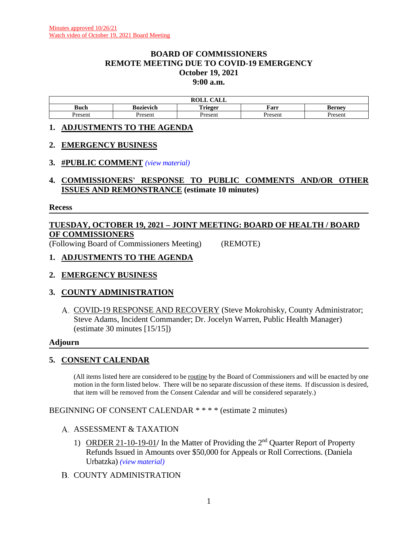#### **BOARD OF COMMISSIONERS REMOTE MEETING DUE TO COVID-19 EMERGENCY October 19, 2021 9:00 a.m.**

|        | $\sim$ $\sim$ $\sim$<br>$\mathbf{M}$<br><b>KOLL</b><br>САЫС |                 |         |                       |  |  |
|--------|-------------------------------------------------------------|-----------------|---------|-----------------------|--|--|
| Buch   | Bozievich                                                   | m. .<br>`rieger | Farr    | Bernev                |  |  |
| resent | Present                                                     | resen           | Present | <i>r</i> acan<br>эсн. |  |  |

#### **1. ADJUSTMENTS TO THE AGENDA**

#### **2. EMERGENCY BUSINESS**

#### **3. #PUBLIC COMMENT** *(view [material\)](http://www.lanecountyor.gov/UserFiles/Servers/Server_3585797/File/Government/BCC/2021/2021_AGENDAS/101921agenda/T.3.pdf)*

**4. COMMISSIONERS' RESPONSE TO PUBLIC COMMENTS AND/OR OTHER ISSUES AND REMONSTRANCE (estimate 10 minutes)**

#### **Recess**

# **TUESDAY, OCTOBER 19, 2021 – JOINT MEETING: BOARD OF HEALTH / BOARD OF COMMISSIONERS**

(Following Board of Commissioners Meeting) (REMOTE)

# **1. ADJUSTMENTS TO THE AGENDA**

# **2. EMERGENCY BUSINESS**

# **3. COUNTY ADMINISTRATION**

A. COVID-19 RESPONSE AND RECOVERY (Steve Mokrohisky, County Administrator; Steve Adams, Incident Commander; Dr. Jocelyn Warren, Public Health Manager) (estimate 30 minutes [15/15])

#### **Adjourn**

# **5. CONSENT CALENDAR**

(All items listed here are considered to be routine by the Board of Commissioners and will be enacted by one motion in the form listed below. There will be no separate discussion of these items. If discussion is desired, that item will be removed from the Consent Calendar and will be considered separately.)

BEGINNING OF CONSENT CALENDAR \* \* \* \* (estimate 2 minutes)

#### A. ASSESSMENT & TAXATION

- 1) ORDER 21-10-19-01**/** In the Matter of Providing the 2nd Quarter Report of Property Refunds Issued in Amounts over \$50,000 for Appeals or Roll Corrections. (Daniela Urbatzka) *(view [material\)](http://www.lanecountyor.gov/UserFiles/Servers/Server_3585797/File/Government/BCC/2021/2021_AGENDAS/101921agenda/T.5.A.1.pdf)*
- **B. COUNTY ADMINISTRATION**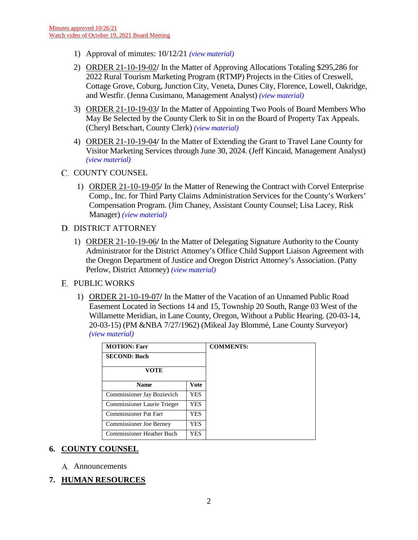- 1) Approval of minutes: 10/12/21 *(view [material\)](http://www.lanecountyor.gov/UserFiles/Servers/Server_3585797/File/Government/BCC/2021/2021_AGENDAS/101921agenda/T.5.B.1.pdf)*
- 2) ORDER 21-10-19-02**/** In the Matter of Approving Allocations Totaling \$295,286 for 2022 Rural Tourism Marketing Program (RTMP) Projects in the Cities of Creswell, Cottage Grove, Coburg, Junction City, Veneta, Dunes City, Florence, Lowell, Oakridge, and Westfir. (Jenna Cusimano, Management Analyst) *(view [material\)](http://www.lanecountyor.gov/UserFiles/Servers/Server_3585797/File/Government/BCC/2021/2021_AGENDAS/101921agenda/T.5.B.2.pdf)*
- 3) ORDER 21-10-19-03**/** In the Matter of Appointing Two Pools of Board Members Who May Be Selected by the County Clerk to Sit in on the Board of Property Tax Appeals. (Cheryl Betschart, County Clerk) *(view [material\)](http://www.lanecountyor.gov/UserFiles/Servers/Server_3585797/File/Government/BCC/2021/2021_AGENDAS/101921agenda/T.5.B.3.pdf)*
- 4) ORDER 21-10-19-04**/** In the Matter of Extending the Grant to Travel Lane County for Visitor Marketing Services through June 30, 2024. (Jeff Kincaid, Management Analyst) *(view [material\)](http://www.lanecountyor.gov/UserFiles/Servers/Server_3585797/File/Government/BCC/2021/2021_AGENDAS/101921agenda/T.5.B.4.pdf)*

# C. COUNTY COUNSEL

1) ORDER 21-10-19-05**/** In the Matter of Renewing the Contract with Corvel Enterprise Comp., Inc. for Third Party Claims Administration Services for the County's Workers' Compensation Program. (Jim Chaney, Assistant County Counsel; Lisa Lacey, Risk Manager) *(view [material\)](http://www.lanecountyor.gov/UserFiles/Servers/Server_3585797/File/Government/BCC/2021/2021_AGENDAS/101921agenda/T.5.C.1.pdf)*

#### D. DISTRICT ATTORNEY

- 1) ORDER 21-10-19-06**/** In the Matter of Delegating Signature Authority to the County Administrator for the District Attorney's Office Child Support Liaison Agreement with the Oregon Department of Justice and Oregon District Attorney's Association. (Patty Perlow, District Attorney) *(view [material\)](http://www.lanecountyor.gov/UserFiles/Servers/Server_3585797/File/Government/BCC/2021/2021_AGENDAS/101921agenda/T.5.D.1.pdf)*
- **E. PUBLIC WORKS** 
	- 1) ORDER 21-10-19-07**/** In the Matter of the Vacation of an Unnamed Public Road Easement Located in Sections 14 and 15, Township 20 South, Range 03 West of the Willamette Meridian, in Lane County, Oregon, Without a Public Hearing. (20-03-14, 20-03-15) (PM &NBA 7/27/1962) (Mikeal Jay Blommé, Lane County Surveyor) *(view [material\)](http://www.lanecountyor.gov/UserFiles/Servers/Server_3585797/File/Government/BCC/2021/2021_AGENDAS/101921agenda/T.5.E.1.pdf)*

| <b>MOTION: Farr</b>            | <b>COMMENTS:</b> |  |
|--------------------------------|------------------|--|
| <b>SECOND: Buch</b>            |                  |  |
| <b>VOTE</b>                    |                  |  |
| <b>Name</b>                    | <b>Vote</b>      |  |
| Commissioner Jay Bozievich     | YES              |  |
| Commissioner Laurie Trieger    | YES.             |  |
| Commissioner Pat Farr          | YES              |  |
| <b>Commissioner Joe Berney</b> | YES              |  |
| Commissioner Heather Buch      | YES              |  |

# **6. COUNTY COUNSEL**

A. Announcements

# **7. HUMAN RESOURCES**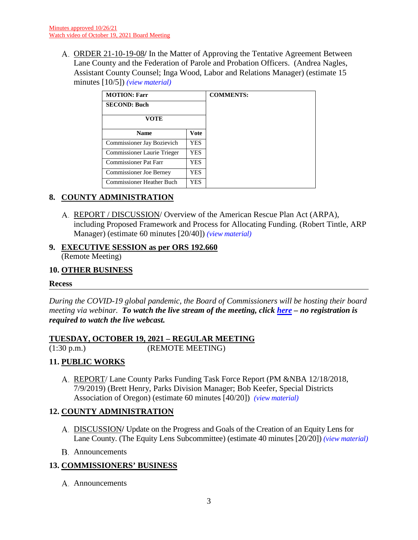ORDER 21-10-19-08**/** In the Matter of Approving the Tentative Agreement Between Lane County and the Federation of Parole and Probation Officers. (Andrea Nagles, Assistant County Counsel; Inga Wood, Labor and Relations Manager) (estimate 15 minutes [10/5]) *(view [material\)](http://www.lanecountyor.gov/UserFiles/Servers/Server_3585797/File/Government/BCC/2021/2021_AGENDAS/101921agenda/T.7.A.pdf)*

| <b>MOTION: Farr</b>              |            | <b>COMMENTS:</b> |
|----------------------------------|------------|------------------|
| <b>SECOND: Buch</b>              |            |                  |
| VOTE                             |            |                  |
| <b>Name</b>                      | Vote       |                  |
| Commissioner Jay Bozievich       | <b>YES</b> |                  |
| Commissioner Laurie Trieger      | <b>YES</b> |                  |
| <b>Commissioner Pat Farr</b>     | <b>YES</b> |                  |
| Commissioner Joe Berney          | <b>YES</b> |                  |
| <b>Commissioner Heather Buch</b> | <b>YES</b> |                  |

# **8. COUNTY ADMINISTRATION**

REPORT / DISCUSSION/ Overview of the American Rescue Plan Act (ARPA), including Proposed Framework and Process for Allocating Funding. (Robert Tintle, ARP Manager) (estimate 60 minutes [20/40]) *(view [material\)](http://www.lanecountyor.gov/UserFiles/Servers/Server_3585797/File/Government/BCC/2021/2021_AGENDAS/101921agenda/T.8.A.pdf)*

#### **9. EXECUTIVE SESSION as per ORS 192.660** (Remote Meeting)

# **10. OTHER BUSINESS**

#### **Recess**

*During the COVID-19 global pandemic, the Board of Commissioners will be hosting their board meeting via webinar. To watch the live stream of the meeting, click [here](https://lanecounty.org/cms/One.aspx?portalId=3585881&pageId=7842434) – no registration is required to watch the live webcast.* 

# **TUESDAY, OCTOBER 19, 2021 – REGULAR MEETING**

(1:30 p.m.) (REMOTE MEETING)

# **11. PUBLIC WORKS**

REPORT/ Lane County Parks Funding Task Force Report (PM &NBA 12/18/2018, 7/9/2019) (Brett Henry, Parks Division Manager; Bob Keefer, Special Districts Association of Oregon) (estimate 60 minutes [40/20]) *(view [material\)](http://www.lanecountyor.gov/UserFiles/Servers/Server_3585797/File/Government/BCC/2021/2021_AGENDAS/101921agenda/T.11.A.pdf)*

# **12. COUNTY ADMINISTRATION**

- DISCUSSION**/** Update on the Progress and Goals of the Creation of an Equity Lens for Lane County. (The Equity Lens Subcommittee) (estimate 40 minutes [20/20]) *(view [material\)](http://www.lanecountyor.gov/UserFiles/Servers/Server_3585797/File/Government/BCC/2021/2021_AGENDAS/101921agenda/T.12.A.pdf)*
- Announcements

# **13. COMMISSIONERS' BUSINESS**

A. Announcements